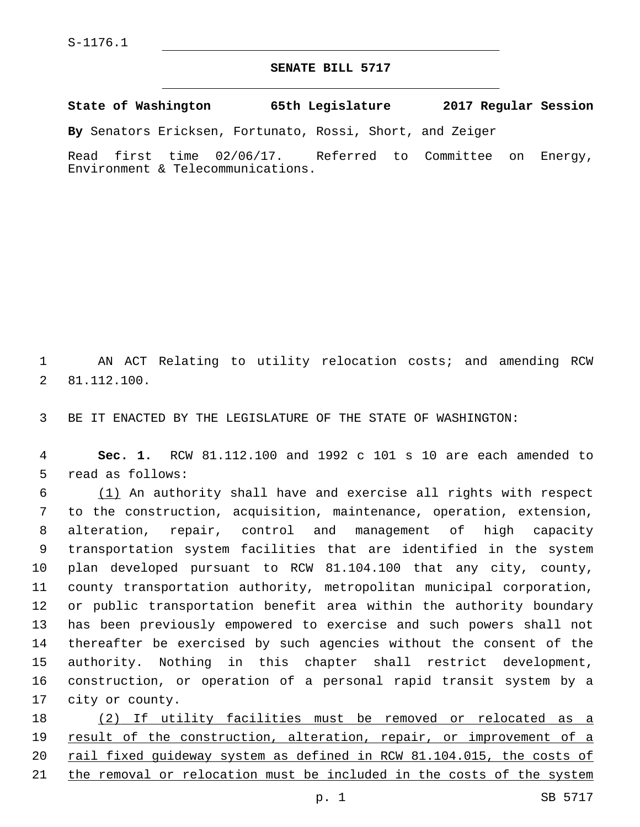## **SENATE BILL 5717**

**State of Washington 65th Legislature 2017 Regular Session**

**By** Senators Ericksen, Fortunato, Rossi, Short, and Zeiger

Read first time 02/06/17. Referred to Committee on Energy, Environment & Telecommunications.

1 AN ACT Relating to utility relocation costs; and amending RCW 81.112.100.2

3 BE IT ENACTED BY THE LEGISLATURE OF THE STATE OF WASHINGTON:

4 **Sec. 1.** RCW 81.112.100 and 1992 c 101 s 10 are each amended to 5 read as follows:

 (1) An authority shall have and exercise all rights with respect to the construction, acquisition, maintenance, operation, extension, alteration, repair, control and management of high capacity transportation system facilities that are identified in the system plan developed pursuant to RCW 81.104.100 that any city, county, county transportation authority, metropolitan municipal corporation, or public transportation benefit area within the authority boundary has been previously empowered to exercise and such powers shall not thereafter be exercised by such agencies without the consent of the authority. Nothing in this chapter shall restrict development, construction, or operation of a personal rapid transit system by a 17 city or county.

18 (2) If utility facilities must be removed or relocated as a 19 result of the construction, alteration, repair, or improvement of a 20 rail fixed guideway system as defined in RCW 81.104.015, the costs of 21 the removal or relocation must be included in the costs of the system